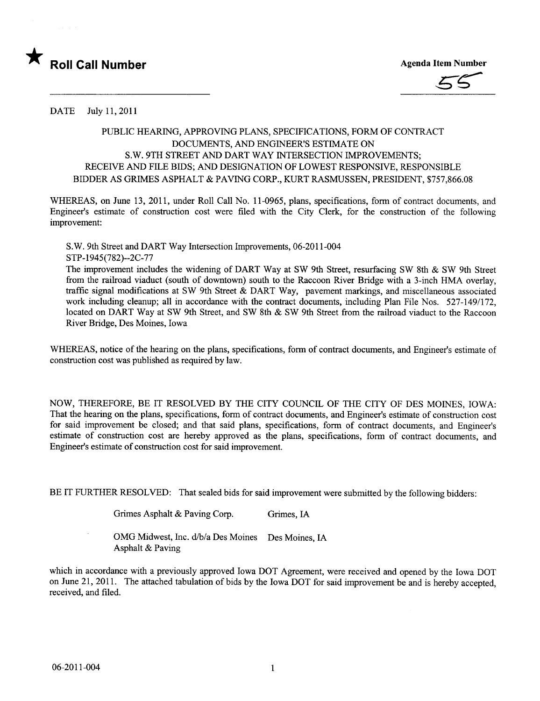

**Agenda Item Number** 



DATE July 11,2011

## PUBLIC HEARING, APPROVING PLANS, SPECIFICATIONS, FORM OF CONTRACT DOCUMENTS, AND ENGINEER'S ESTIMATE ON S.W. 9TH STREET AND DART WAY INTERSECTION IMPROVEMENTS; RECEIVE AND FILE BIDS; AND DESIGNATION OF LOWEST RESPONSIVE, RESPONSIBLE BIDDER AS GRIMES ASPHALT & PAVING CORP., KURT RASMUSSEN, PRESIDENT, \$757,866.08

WHEREAS, on June 13, 2011, under Roll Call No. 11-0965, plans, specifications, form of contract documents, and Engineer's estimate of construction cost were filed with the City Clerk, for the construction of the following improvement:

S.W. 9th Street and DART Way Intersection Improvements, 06-2011-004 STP-1945(782)--2C-77

The improvement includes the widening of DART Way at SW 9th Street, resurfacing SW 8th & SW 9th Street from the railroad viaduct (south of downtown) south to the Raccoon River Bridge with a 3-inch HMA overlay, traffic signal modifications at SW 9th Street & DART Way, pavement markings, and miscellaneous associated work including cleanup; all in accordance with the contract documents, including Plan File Nos. 527-149/172, located on DART Way at SW 9th Street, and SW 8th & SW 9th Street from the railroad viaduct to the Raccoon River Bridge, Des Moines, Iowa

WHEREAS, notice of the hearing on the plans, specifications, form of contract documents, and Engineer's estimate of construction cost was published as required by law.

NOW, THEREFORE, BE IT RESOLVED BY THE CITY COUNCIL OF THE CITY OF DES MOINES, LOW A: That the hearing on the plans, specifications, form of contract documents, and Engineer's estimate of construction cost for said improvement be closed; and that said plans, specifications, form of contract documents, and Engineer's estimate of construction cost are hereby approved as the plans, specifications, form of contract documents, and Engineer's estimate of construction cost for said improvement.

BE IT FURTHER RESOLVED: That sealed bids for said improvement were submitted by the following bidders:

Grimes Asphalt & Paving Corp. Grimes, IA

OMG Midwest, Inc. d/b/a Des Moines Des Moines, IA Asphalt & Paving

which in accordance with a previously approved Iowa DOT Agreement, were received and opened by the Iowa DOT on June 21, 2011. The attached tabulation of bids by the Iowa DOT for said improvement be and is hereby accepted, received, and filed.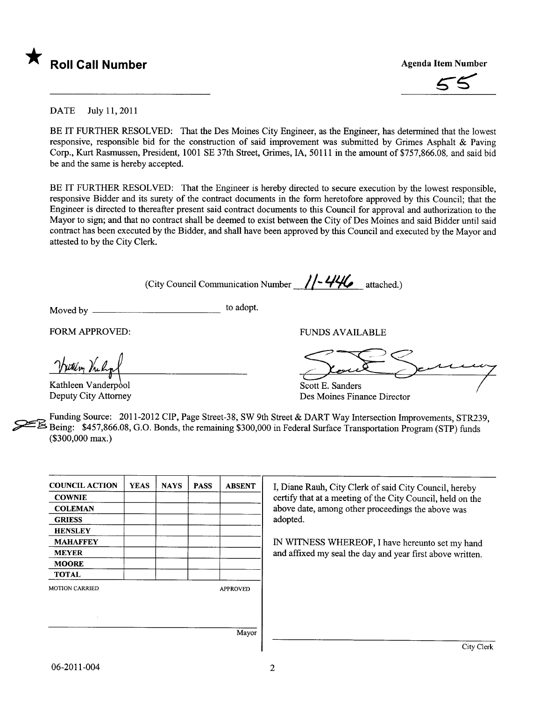



DATE July 11,2011

BE IT FURTHER RESOLVED: That the Des Moines City Engineer, as the Engineer, has determined that the lowest responsive, responsible bid for the construction of said improvement was submitted by Grimes Asphalt & Paving Corp., Kurt Rasmussen, President, 1001 SE 37th Street, Grimes, lA, 50111 in the amount of \$757,866.08, and said bid be and the same is hereby accepted.

BE IT FURTHER RESOLVED: That the Engineer is hereby directed to secure execution by the lowest responsible, responsive Bidder and its surety of the contract documents in the form heretofore approved by this Council; that the Engineer is directed to thereafter present said contract documents to this Council for approval and authorization to the Mayor to sign; and that no contract shall be deemed to exist between the City of Des Moines and said Bidder until said contract has been executed by the Bidder, and shall have been approved by this Council and executed by the Mayor and attested to by the City Clerk.

(City Council Communication Number  $1/-44\frac{1}{4}$  attached.)

Moved by to adopt.

FORM APPROVED: FUNDS AVAILABLE

hutilin Vril

Kathleen Vanderpool Deputy City Attorney

FUNDS AVAILAR

Des Moines Finance Director

Funding Source: 2011-2012 CIP, Page Street-38, SW 9th Street & DART Way Intersection Improvements, STR239, ~ Being: \$457,866.08, G.O. Bonds, the remaining \$300,000 in Federal Surface Transportation Program (STP) funds (\$300,000 max.)

| <b>COUNCIL ACTION</b> | <b>YEAS</b> | <b>NAYS</b> | <b>PASS</b> | <b>ABSENT</b>   | I, Diane Rauh, City Clerk of said City Council, hereby     |
|-----------------------|-------------|-------------|-------------|-----------------|------------------------------------------------------------|
| <b>COWNIE</b>         |             |             |             |                 | certify that at a meeting of the City Council, held on the |
| <b>COLEMAN</b>        |             |             |             |                 | above date, among other proceedings the above was          |
| <b>GRIESS</b>         |             |             |             |                 | adopted.                                                   |
| <b>HENSLEY</b>        |             |             |             |                 |                                                            |
| <b>MAHAFFEY</b>       |             |             |             |                 | IN WITNESS WHEREOF, I have hereunto set my hand            |
| <b>MEYER</b>          |             |             |             |                 | and affixed my seal the day and year first above written.  |
| <b>MOORE</b>          |             |             |             |                 |                                                            |
| <b>TOTAL</b>          |             |             |             |                 |                                                            |
| <b>MOTION CARRIED</b> |             |             |             | <b>APPROVED</b> |                                                            |
|                       |             |             |             |                 |                                                            |
|                       |             |             |             |                 |                                                            |
|                       |             |             |             |                 |                                                            |
|                       |             |             |             | Mayor           |                                                            |

1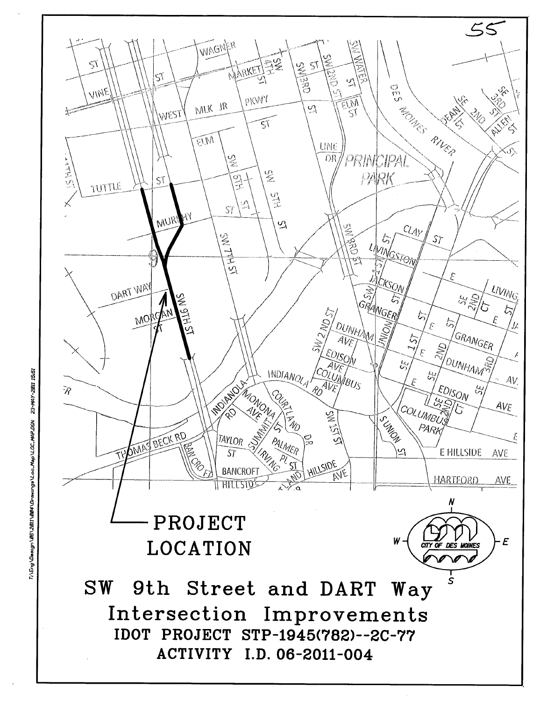

23-MAY-2011 15:51 V:\Eng\Qessgn\06\201\004\Drawngs\Loc\_Map \LOC\_MAP.DGN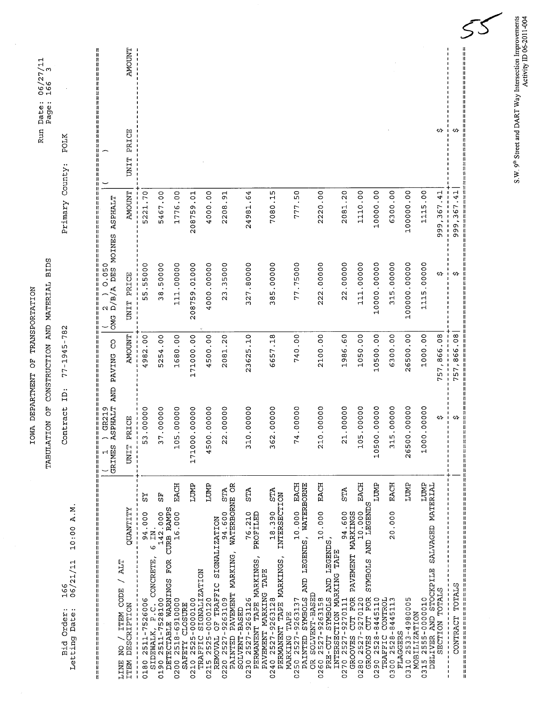| 10:00 A.M<br>06/21/11<br>166<br>Order:<br>Letting Date:<br>Bid                                                                                                                                           | Contract                                                     | $77 - 1945 - 782$<br>$\ddot{a}$ |                               | Primary County:       | <b>POLK</b> |               |
|----------------------------------------------------------------------------------------------------------------------------------------------------------------------------------------------------------|--------------------------------------------------------------|---------------------------------|-------------------------------|-----------------------|-------------|---------------|
| Ш<br>ï<br>II<br>II<br>ii<br>II<br>Ü<br>Ш<br>川川<br>  <br>  <br>  <br>II<br>II<br>H                                                                                                                        | <b>ASPHALT</b><br>$C$ R219<br><b>GRIMES</b><br>II<br>II<br>Н | PAVING CO<br><b>AND</b>         | OMG D/B/A DES MOINES<br>0.050 | 非非<br><b>ASPHALT</b>  | Ħ<br>Ħ      |               |
| QUANTITY<br>$/$ ALT<br>/ ITEM CODE<br>DESCRIPTION<br>0<br>Z<br><b>TTEM</b><br>LINE                                                                                                                       | UNIT PRICE                                                   | <b>AMOUNT</b>                   | UNIT PRICE                    | <b>AMOUNT</b>         | UNIT PRICE  | <b>TMOUNT</b> |
| 25<br>94.000<br>$\begin{array}{cccccccccc} 1 & 1 & 1 & 1 & 1 \\ 1 & 1 & 1 & 1 & 1 \\ 1 & 1 & 1 & 1 & 1 \end{array}$<br>2511-7526006<br>$\begin{array}{c} 1 \\ 1 \\ 1 \\ 1 \\ 1 \\ 1 \end{array}$<br>0180 | 53.00000<br>$\frac{1}{1}$                                    | 4982.00                         | 55.55000                      | 5221.70               |             |               |
| ۲Ĥ<br>142.000<br>$\overline{a}$ .<br>$\circ$<br>CONCRETE,<br>2511-7528100<br>$\frac{1}{2}$<br>SIDEWALK,<br>0190                                                                                          | 00000<br>37.                                                 | 5254.00                         | 38.50000                      | 5467.00               |             |               |
| EACH<br>CURB RAMPS<br>16.000<br>FOR<br>DETECTABLE WARNINGS<br>2518-6910000<br>0200                                                                                                                       | 00000<br>105                                                 | 1680.00                         | 111.00000                     | 1776.00               |             |               |
| <b>ENDT</b><br>2525-0000100<br>CLOSURE<br><b>SAFETY</b><br>0210                                                                                                                                          | 00000<br>171000                                              | 171000.00                       | 208759.01000                  | 208759.01             |             |               |
| LUMP<br>SIGNALIZATION<br>2525-0000120<br>TRAFFIC<br><b>REMOVAL</b><br>0215                                                                                                                               | 00000<br>4500                                                | 4500.00                         | 4000.00000                    | 4000.00               |             |               |
| WATERBORNE OR<br><b>STA</b><br>94.600<br>OF TRAFFIC SIGNALIZATION<br>PAINTED PAVEMENT MARKING,<br>0220 2527-9263109                                                                                      | 00000<br>22                                                  | 2081.20                         | 23.35000                      | 2208.91               |             |               |
| STA<br>76.210<br>PROFILED<br>MARKINGS,<br><b>TAPE</b><br>PAVEMENT MARKING<br>0230 2527-9263126<br>PERMANENT TAPE<br>SOLVENT-BASED                                                                        | 00000<br>310                                                 | 23625.10                        | 327.80000                     | $-64$<br>24981        |             |               |
| <b>STA</b><br><b>INTERSECTION</b><br>18.390<br>PERMANENT TAPE MARKINGS,<br>0240 2527-9263128<br>MARKING TAPE                                                                                             | 00000<br>362                                                 | 6657.18                         | 385.00000                     | 7080.15               |             |               |
| EACH<br>LEGENDS, WATERBORNE<br>10.000<br><b>AND</b><br>PAINTED SYMBOLS<br>0250 2527-9263137                                                                                                              | 00000<br>74                                                  | 740.00                          | 77.75000                      | 777.50                |             |               |
| EACH<br>10.000<br>LEGENDS,<br>INTERSECTION MARKING TAPE<br>RND<br>SOLVENT-BASED<br>PRE-CUT SYMBOLS<br>2527-9263158<br>œ<br>0260                                                                          | 00000<br>210                                                 | 2100.00                         | 222.00000                     | 2220.00               |             |               |
| STA<br>94.600<br>PAVEMENT MARKINGS<br>CUT FOR<br>0270 2527-9270111<br>GROOVES                                                                                                                            | 00000<br>$\overline{21}$                                     | 1986.60                         | 22.00000                      | 2081.20               |             |               |
| EACH<br>10.000<br>0280 2527-9270120                                                                                                                                                                      | 00000<br>105                                                 | 1050.00                         | 111.00000                     | 1110.00               |             |               |
| <b>TIDNE</b><br>AND LEGENDS<br>SYMBOLS<br>CUT FOR<br>2528-8445110<br>GROOVES<br>0290                                                                                                                     | 00000<br>10500                                               | 10500.00                        | 10000.00000                   | 10000.00              |             |               |
| EACH<br>20.000<br>CONTROL<br>0300 2528-8445113<br>TRAFFIC                                                                                                                                                | 00000<br>т<br>4                                              | 6300.00                         | 315.00000                     | 6300.00               |             |               |
| LUMP<br>0310 2533-4980005<br>MOBILIZATION<br><b>FLAGGERS</b>                                                                                                                                             | 00000<br>26500                                               | 26500.00                        | 100000.00000                  | 1000000.00            |             |               |
| <b>LUMP</b><br>SALVAGED MATERIAL<br>DELIVER AND STOCKPILE<br>2555-0000010<br>0315                                                                                                                        | 00000<br>1000                                                | 1000.00                         | 1115.00000                    | $\frac{0}{1}$<br>1115 |             |               |
| SECTION TOTALS                                                                                                                                                                                           | ↭                                                            | 757,866.08                      | ∽                             | 999,367.41            | ₩           |               |
| CONTRACT TOTALS                                                                                                                                                                                          | ₩                                                            | ,866.08<br>757                  |                               | $-41$<br>367<br>999,  | ₩           |               |

S.W.  $9^{\text{th}}$  Street and DART Way Intersection Improvements<br>Activity ID 06-2011-004

IOWA DEPARTMENT OF TRANSPORTATION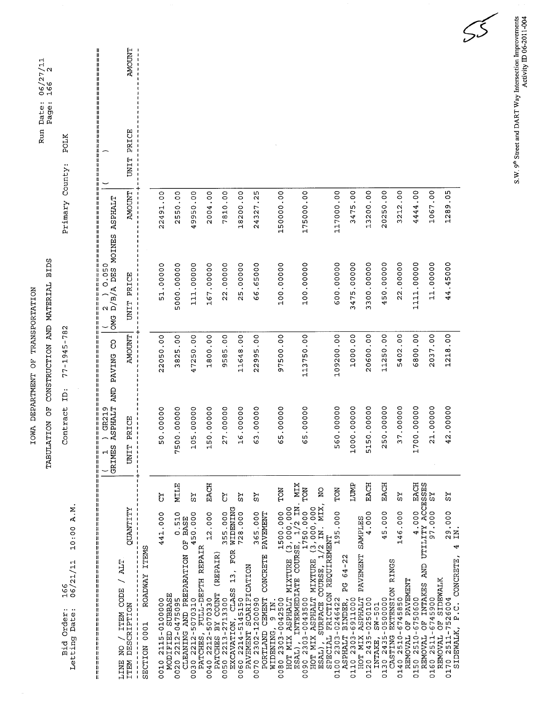|                                                                                                                                                                                                                                                                                                 | FO<br>O<br>TABULATION                                                                              |               | CONSTRUCTION AND MATERIAL BIDS                                                                      |                 | Run Date:<br>Page:         | $\frac{06}{27}$ /11<br>166 2 |
|-------------------------------------------------------------------------------------------------------------------------------------------------------------------------------------------------------------------------------------------------------------------------------------------------|----------------------------------------------------------------------------------------------------|---------------|-----------------------------------------------------------------------------------------------------|-----------------|----------------------------|------------------------------|
| A.M<br>10:00<br>$\mathbf{H}$<br>06/21/1<br>166<br>Bid Order:<br>Pid Order:<br>Letting Date                                                                                                                                                                                                      | id.<br>Contract                                                                                    | 77-1945-782   |                                                                                                     | Primary County: | <b>POLK</b>                |                              |
|                                                                                                                                                                                                                                                                                                 |                                                                                                    |               |                                                                                                     |                 |                            |                              |
| Ш<br>Ħ<br>11<br>11<br>JI<br>π<br>υ<br>11<br>$\mathbf{I}$<br>Π<br>∥<br>Ħ<br>Ħ<br>₩<br>ii<br>Il<br>$\mathbf{I}$<br>IJ<br>Ï<br>11<br>Ħ<br>$\frac{11}{11}$<br>ij<br>  <br>  <br>  <br>  <br>  <br>I<br>ŧ<br>$\blacksquare$<br>ll<br>Il<br>H<br>Ш                                                    | ASPHALT AND PAVING CO<br>$\frac{5}{11}$<br>11<br>11<br>11<br>GR <sub>2</sub><br><b>GRIMES</b><br>Н |               | $\begin{pmatrix} 2 & 1 & 0.050 \\ 0.043 & 0.058 & 0.00707 \\ 0.000 & 0.0007 & 0.0007 \end{pmatrix}$ | <b>ASPHALT</b>  | $\mathbf{I}$<br> <br> <br> |                              |
| <b>ZLILMED</b><br>ALT<br>CODE<br><b>DESCRIPTION</b><br><b>LIEN</b><br>$\mathbf{S}$<br><b>TTEM</b><br>LINE                                                                                                                                                                                       | PRICE<br>UNIT                                                                                      | <b>AMOUNT</b> | UNIT PRICE                                                                                          | <b>AMOUNT</b>   | UNIT PRICE                 | TNUONA                       |
| <b>ITEMS</b><br>ROADWAY<br>ı<br>0001<br>SECTION                                                                                                                                                                                                                                                 | $\frac{1}{2}$                                                                                      |               |                                                                                                     |                 |                            |                              |
| ชื<br>441.000<br>10 2115-0100000<br>MODIFIED SUBBAS<br>0010                                                                                                                                                                                                                                     | 50.00000                                                                                           | 22050.00      | 51.00000                                                                                            | 22491.00        |                            |                              |
| <b>NILE</b><br>0.510<br>OF BASE<br>SUBBASE<br>0020 2212-0475095                                                                                                                                                                                                                                 | 7500.00000                                                                                         | 3825.00       | 5000.00000                                                                                          | 2550.00         |                            |                              |
| 25<br>450.000<br>FULL-DEPTH REPAI<br>CLEANING AND PREPARATION<br>0030 2212-5070310<br>PATCHES,                                                                                                                                                                                                  | .00000<br>105                                                                                      | 47250.00      | 111.00000                                                                                           | 49950.00        |                            |                              |
| EACH<br>12.000<br>PATCHES BY COUNT<br>0040 2212-5070330                                                                                                                                                                                                                                         | .00000<br>150                                                                                      | 1800.00       | 167.00000                                                                                           | 2004.00         |                            |                              |
| ชิ<br>(REPAIR)<br>2213-2713300<br>0050                                                                                                                                                                                                                                                          | 27.00000                                                                                           | 9585.00       | 22.00000                                                                                            | 7810.00         |                            |                              |
| λ5<br>355.000<br>WIDENING<br>728.000<br>FOR<br>13,<br>CLASS<br>0060 2214-5145150<br>EXCAVATION,<br>PAVEMENT                                                                                                                                                                                     | .00000<br>$\frac{6}{11}$                                                                           | 11648.00      | 25.00000                                                                                            | 18200.00        |                            |                              |
| ŠΣ<br>365.000<br>PAVEMENT<br>CONCRETE<br><b><i>TEMENT SCARIFICATION</i></b><br>2302-1200090<br>PORTLAND CEMENT<br>0070                                                                                                                                                                          | .00000<br>C3                                                                                       | 22995.00      | 66.65000                                                                                            | 24327.25        |                            |                              |
| <b>NOT</b><br>1500.000<br>WIDENING, 9 IN.<br>0080 2303-0042500                                                                                                                                                                                                                                  | .00000<br>65                                                                                       | 97500.00      | 100.00000                                                                                           | 150000.00       |                            |                              |
| <b>MIX</b><br><b>TON</b><br>$\mathbf{S}$<br>$\ddot{\phantom{0}}$<br>$(3,000,000$<br>$L/2$ IN. MIX,<br>HOT MIX ASPHALT MIXTURE (3,000,000<br>ESAL), INTERMEDIATE COURSE, 1/2 IN<br>0090 2303-0043500<br>ESAL), SURFACE COURSE, 1/2 II<br>SPECIAL FRICTION REQUIREMENT<br>HOT MIX ASPHALT MIXTURE | 00000<br>١ω<br>৩                                                                                   | 113750.00     | 100.00000                                                                                           | 175000.00       |                            |                              |
| <b>TON</b><br>195.000                                                                                                                                                                                                                                                                           | 560.00000                                                                                          | 109200.00     | 600.00000                                                                                           | 117000.00       |                            |                              |
| LUMP<br>$64 - 22$<br>ង<br>ក<br>0100 2303-0246422<br>ASPHALT BINDER, 1<br>0110 2303-6911000<br>HOT MIX ASPHALT 1                                                                                                                                                                                 | 1000.00000                                                                                         | 1000.00       | 3475.00000                                                                                          | 3475.00         |                            |                              |
| EACH<br>4.000<br><b>SAMPLES</b><br>PAVEMENT<br>2435-0250100<br>0120                                                                                                                                                                                                                             | 5150.00000                                                                                         | 20600.00      | 3300.00000                                                                                          | 13200.00        |                            |                              |
| EACH<br>5.000<br>4<br>INTAKE, SW-501<br>0130 2435-0500000<br>CASTING                                                                                                                                                                                                                            | 250.00000                                                                                          | 11250.00      | 450.00000                                                                                           | 20250.00        |                            |                              |
| χŚ<br>146.000<br>EXTENSION RINGS<br>OF PAVEMENT<br>2510-6745850<br><b>REMOVAL</b><br>0140                                                                                                                                                                                                       | 37.00000                                                                                           | 5402.00       | 22.00000                                                                                            | 3212.00         |                            |                              |
| EACH<br>UTILITY ACCESSES<br>4.000<br>INTAKES AND<br>0150 2510-6750600<br>FO<br>O<br>REMOVAL                                                                                                                                                                                                     | 1700.00000                                                                                         | 6800.00       | 1111.00000                                                                                          | 4444.00         |                            |                              |
| ΣS<br>97.000<br>SIDEWALK<br>0160 2511-6745900<br>FO<br>O<br><b>REMOVAL</b>                                                                                                                                                                                                                      | 21.00000                                                                                           | 2037.00       | 11.00000                                                                                            | 1067.00         |                            |                              |
| 25<br>29.000<br>IN.<br>4<br>CONCRETE,<br>2511-7526004<br>c.<br>P.<br>SIDEWALK,<br>0170                                                                                                                                                                                                          | 42.00000                                                                                           | 1218.00       | 44.45000                                                                                            | 1289.05         |                            |                              |
|                                                                                                                                                                                                                                                                                                 |                                                                                                    |               |                                                                                                     |                 |                            |                              |

S.W.  $9^{\text{th}}$  Street and DART Way Intersection Improvements<br>Activity ID 06-2011-004

IOWA DEPARTMENT OF TRANSPORTATION